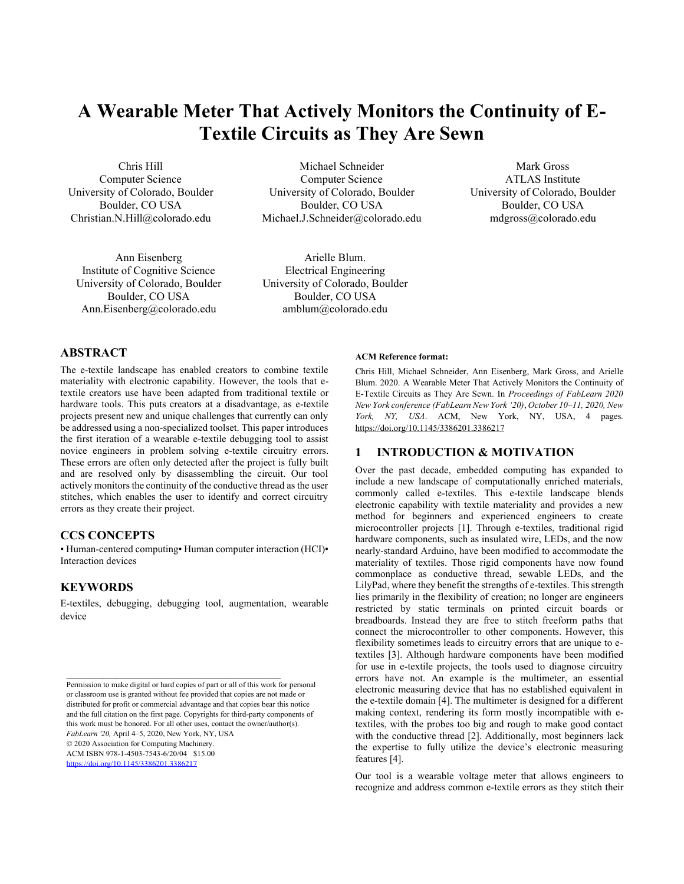# **A Wearable Meter That Actively Monitors the Continuity of E-Textile Circuits as They Are Sewn**

Chris Hill Computer Science University of Colorado, Boulder Boulder, CO USA Christian.N.Hill@colorado.edu

Ann Eisenberg Institute of Cognitive Science University of Colorado, Boulder Boulder, CO USA Ann.Eisenberg@colorado.edu

Michael Schneider Computer Science University of Colorado, Boulder Boulder, CO USA Michael.J.Schneider@colorado.edu

Arielle Blum. Electrical Engineering University of Colorado, Boulder Boulder, CO USA amblum@colorado.edu

Mark Gross ATLAS Institute University of Colorado, Boulder Boulder, CO USA mdgross@colorado.edu

# **ABSTRACT**

The e-textile landscape has enabled creators to combine textile materiality with electronic capability. However, the tools that etextile creators use have been adapted from traditional textile or hardware tools. This puts creators at a disadvantage, as e-textile projects present new and unique challenges that currently can only be addressed using a non-specialized toolset. This paper introduces the first iteration of a wearable e-textile debugging tool to assist novice engineers in problem solving e-textile circuitry errors. These errors are often only detected after the project is fully built and are resolved only by disassembling the circuit. Our tool actively monitors the continuity of the conductive thread as the user stitches, which enables the user to identify and correct circuitry errors as they create their project.

#### **CCS CONCEPTS**

• Human-centered computing• Human computer interaction (HCI)• Interaction devices

### **KEYWORDS**

E-textiles, debugging, debugging tool, augmentation, wearable device

 $\mathcal{L}_\text{max} = \frac{1}{2} \sum_{i=1}^n \mathcal{L}_\text{max} = \frac{1}{2} \sum_{i=1}^n \mathcal{L}_\text{max} = \frac{1}{2} \sum_{i=1}^n \mathcal{L}_\text{max} = \frac{1}{2} \sum_{i=1}^n \mathcal{L}_\text{max} = \frac{1}{2} \sum_{i=1}^n \mathcal{L}_\text{max} = \frac{1}{2} \sum_{i=1}^n \mathcal{L}_\text{max} = \frac{1}{2} \sum_{i=1}^n \mathcal{L}_\text{max} = \frac{1}{2} \sum_{i=$ 

© 2020 Association for Computing Machinery.

ACM ISBN 978-1-4503-7543-6/20/04 \$15.00

<https://doi.org/10.1145/3386201.3386217>

#### **ACM Reference format:**

Chris Hill, Michael Schneider, Ann Eisenberg, Mark Gross, and Arielle Blum. 2020. A Wearable Meter That Actively Monitors the Continuity of E-Textile Circuits as They Are Sewn. In *Proceedings of FabLearn 2020 New York conference (FabLearn New York '20)*, *October 10–11, 2020, New York, NY, USA*. ACM, New York, NY, USA, 4 pages. <https://doi.org/10.1145/3386201.3386217>

### **1 INTRODUCTION & MOTIVATION**

Over the past decade, embedded computing has expanded to include a new landscape of computationally enriched materials, commonly called e-textiles. This e-textile landscape blends electronic capability with textile materiality and provides a new method for beginners and experienced engineers to create microcontroller projects [1]. Through e-textiles, traditional rigid hardware components, such as insulated wire, LEDs, and the now nearly-standard Arduino, have been modified to accommodate the materiality of textiles. Those rigid components have now found commonplace as conductive thread, sewable LEDs, and the LilyPad, where they benefit the strengths of e-textiles. This strength lies primarily in the flexibility of creation; no longer are engineers restricted by static terminals on printed circuit boards or breadboards. Instead they are free to stitch freeform paths that connect the microcontroller to other components. However, this flexibility sometimes leads to circuitry errors that are unique to etextiles [3]. Although hardware components have been modified for use in e-textile projects, the tools used to diagnose circuitry errors have not. An example is the multimeter, an essential electronic measuring device that has no established equivalent in the e-textile domain [4]. The multimeter is designed for a different making context, rendering its form mostly incompatible with etextiles, with the probes too big and rough to make good contact with the conductive thread [2]. Additionally, most beginners lack the expertise to fully utilize the device's electronic measuring features [4].

Our tool is a wearable voltage meter that allows engineers to recognize and address common e-textile errors as they stitch their

Permission to make digital or hard copies of part or all of this work for personal or classroom use is granted without fee provided that copies are not made or distributed for profit or commercial advantage and that copies bear this notice and the full citation on the first page. Copyrights for third-party components of this work must be honored. For all other uses, contact the owner/author(s). *FabLearn '20,* April 4–5, 2020, New York, NY, USA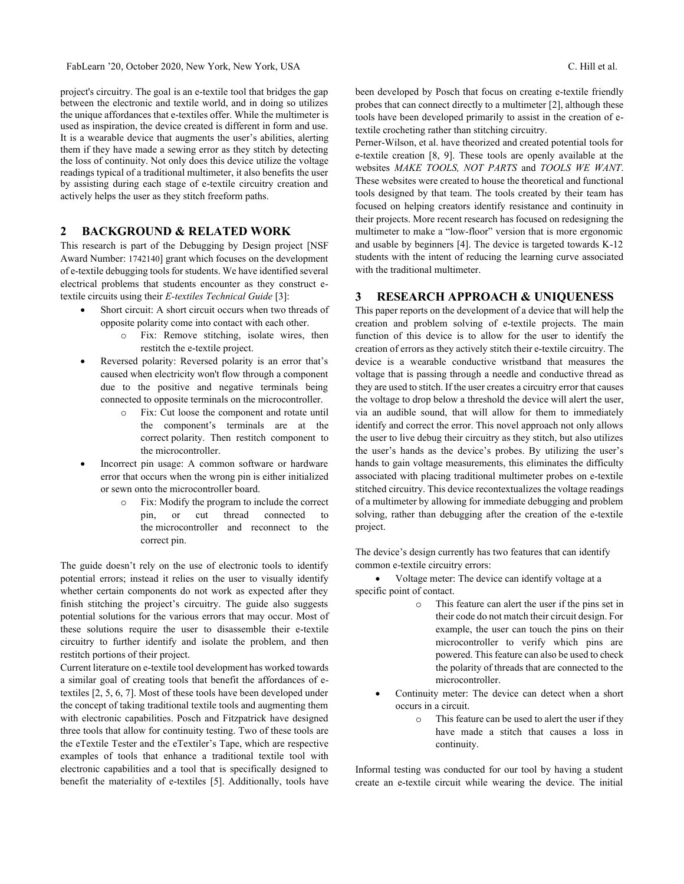project's circuitry. The goal is an e-textile tool that bridges the gap between the electronic and textile world, and in doing so utilizes the unique affordances that e-textiles offer. While the multimeter is used as inspiration, the device created is different in form and use. It is a wearable device that augments the user's abilities, alerting them if they have made a sewing error as they stitch by detecting the loss of continuity. Not only does this device utilize the voltage readings typical of a traditional multimeter, it also benefits the user by assisting during each stage of e-textile circuitry creation and actively helps the user as they stitch freeform paths.

### **2 BACKGROUND & RELATED WORK**

This research is part of the Debugging by Design project [NSF Award Number: 1742140] grant which focuses on the development of e-textile debugging tools for students. We have identified several electrical problems that students encounter as they construct etextile circuits using their *E-textiles Technical Guide* [3]:

- Short circuit: A short circuit occurs when two threads of opposite polarity come into contact with each other.
	- o Fix: Remove stitching, isolate wires, then restitch the e-textile project.
- Reversed polarity: Reversed polarity is an error that's caused when electricity won't flow through a component due to the positive and negative terminals being connected to opposite terminals on the microcontroller.
	- o Fix: Cut loose the component and rotate until the component's terminals are at the correct polarity. Then restitch component to the microcontroller.
- Incorrect pin usage: A common software or hardware error that occurs when the wrong pin is either initialized or sewn onto the microcontroller board.
	- o Fix: Modify the program to include the correct pin, or cut thread connected to the microcontroller and reconnect to the correct pin.

The guide doesn't rely on the use of electronic tools to identify potential errors; instead it relies on the user to visually identify whether certain components do not work as expected after they finish stitching the project's circuitry. The guide also suggests potential solutions for the various errors that may occur. Most of these solutions require the user to disassemble their e-textile circuitry to further identify and isolate the problem, and then restitch portions of their project.

Current literature on e-textile tool development has worked towards a similar goal of creating tools that benefit the affordances of etextiles [2, 5, 6, 7]. Most of these tools have been developed under the concept of taking traditional textile tools and augmenting them with electronic capabilities. Posch and Fitzpatrick have designed three tools that allow for continuity testing. Two of these tools are the eTextile Tester and the eTextiler's Tape, which are respective examples of tools that enhance a traditional textile tool with electronic capabilities and a tool that is specifically designed to benefit the materiality of e-textiles [5]. Additionally, tools have been developed by Posch that focus on creating e-textile friendly probes that can connect directly to a multimeter [2], although these tools have been developed primarily to assist in the creation of etextile crocheting rather than stitching circuitry.

Perner-Wilson, et al. have theorized and created potential tools for e-textile creation [8, 9]. These tools are openly available at the websites *MAKE TOOLS, NOT PARTS* and *TOOLS WE WANT*. These websites were created to house the theoretical and functional tools designed by that team. The tools created by their team has focused on helping creators identify resistance and continuity in their projects. More recent research has focused on redesigning the multimeter to make a "low-floor" version that is more ergonomic and usable by beginners [4]. The device is targeted towards K-12 students with the intent of reducing the learning curve associated with the traditional multimeter.

## **3 RESEARCH APPROACH & UNIQUENESS**

This paper reports on the development of a device that will help the creation and problem solving of e-textile projects. The main function of this device is to allow for the user to identify the creation of errors as they actively stitch their e-textile circuitry. The device is a wearable conductive wristband that measures the voltage that is passing through a needle and conductive thread as they are used to stitch. If the user creates a circuitry error that causes the voltage to drop below a threshold the device will alert the user, via an audible sound, that will allow for them to immediately identify and correct the error. This novel approach not only allows the user to live debug their circuitry as they stitch, but also utilizes the user's hands as the device's probes. By utilizing the user's hands to gain voltage measurements, this eliminates the difficulty associated with placing traditional multimeter probes on e-textile stitched circuitry. This device recontextualizes the voltage readings of a multimeter by allowing for immediate debugging and problem solving, rather than debugging after the creation of the e-textile project.

The device's design currently has two features that can identify common e-textile circuitry errors:

• Voltage meter: The device can identify voltage at a specific point of contact.

- o This feature can alert the user if the pins set in their code do not match their circuit design. For example, the user can touch the pins on their microcontroller to verify which pins are powered. This feature can also be used to check the polarity of threads that are connected to the microcontroller.
- Continuity meter: The device can detect when a short occurs in a circuit.
	- o This feature can be used to alert the user if they have made a stitch that causes a loss in continuity.

Informal testing was conducted for our tool by having a student create an e-textile circuit while wearing the device. The initial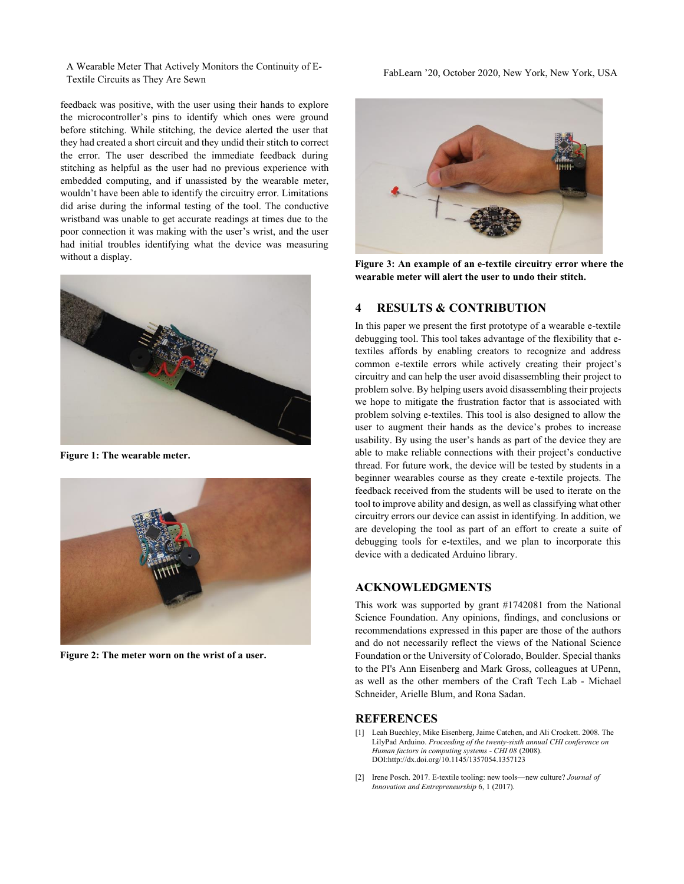A Wearable Meter That Actively Monitors the Continuity of E-Textile Circuits as They Are Sewn FabLearn '20, October 2020, New York, New York, USA Textile Circuits as They Are Sewn

feedback was positive, with the user using their hands to explore the microcontroller's pins to identify which ones were ground before stitching. While stitching, the device alerted the user that they had created a short circuit and they undid their stitch to correct the error. The user described the immediate feedback during stitching as helpful as the user had no previous experience with embedded computing, and if unassisted by the wearable meter, wouldn't have been able to identify the circuitry error. Limitations did arise during the informal testing of the tool. The conductive wristband was unable to get accurate readings at times due to the poor connection it was making with the user's wrist, and the user had initial troubles identifying what the device was measuring without a display.



**Figure 1: The wearable meter.**



**Figure 2: The meter worn on the wrist of a user.**



**Figure 3: An example of an e-textile circuitry error where the wearable meter will alert the user to undo their stitch.**

# **4 RESULTS & CONTRIBUTION**

In this paper we present the first prototype of a wearable e-textile debugging tool. This tool takes advantage of the flexibility that etextiles affords by enabling creators to recognize and address common e-textile errors while actively creating their project's circuitry and can help the user avoid disassembling their project to problem solve. By helping users avoid disassembling their projects we hope to mitigate the frustration factor that is associated with problem solving e-textiles. This tool is also designed to allow the user to augment their hands as the device's probes to increase usability. By using the user's hands as part of the device they are able to make reliable connections with their project's conductive thread. For future work, the device will be tested by students in a beginner wearables course as they create e-textile projects. The feedback received from the students will be used to iterate on the tool to improve ability and design, as well as classifying what other circuitry errors our device can assist in identifying. In addition, we are developing the tool as part of an effort to create a suite of debugging tools for e-textiles, and we plan to incorporate this device with a dedicated Arduino library.

### **ACKNOWLEDGMENTS**

This work was supported by grant #1742081 from the National Science Foundation. Any opinions, findings, and conclusions or recommendations expressed in this paper are those of the authors and do not necessarily reflect the views of the National Science Foundation or the University of Colorado, Boulder. Special thanks to the PI's Ann Eisenberg and Mark Gross, colleagues at UPenn, as well as the other members of the Craft Tech Lab - Michael Schneider, Arielle Blum, and Rona Sadan.

## **REFERENCES**

- [1] Leah Buechley, Mike Eisenberg, Jaime Catchen, and Ali Crockett. 2008. The LilyPad Arduino. *Proceeding of the twenty-sixth annual CHI conference on Human factors in computing systems* - *CHI 08* (2008). DOI:http://dx.doi.org/10.1145/1357054.1357123
- [2] Irene Posch. 2017. E-textile tooling: new tools—new culture? *Journal of Innovation and Entrepreneurship* 6, 1 (2017).